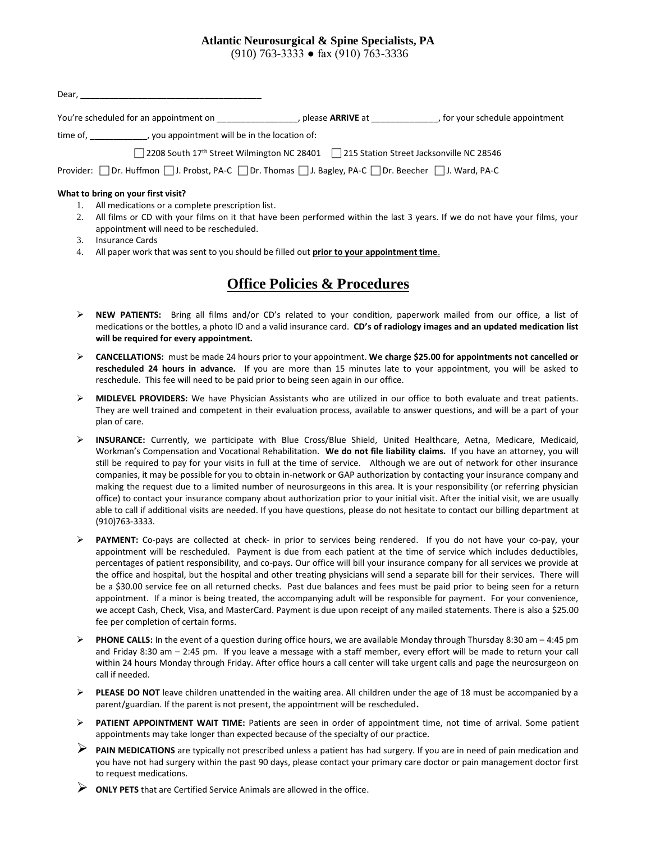#### **Atlantic Neurosurgical & Spine Specialists, PA**

(910) 763-3333 ● fax (910) 763-3336

| Dear,                                                                                                                                |                              |                                 |  |  |  |
|--------------------------------------------------------------------------------------------------------------------------------------|------------------------------|---------------------------------|--|--|--|
| You're scheduled for an appointment on _____________                                                                                 | , please ARRIVE at _________ | , for your schedule appointment |  |  |  |
| time of, time of, you appointment will be in the location of:                                                                        |                              |                                 |  |  |  |
| 2208 South 17 <sup>th</sup> Street Wilmington NC 28401 215 Station Street Jacksonville NC 28546                                      |                              |                                 |  |  |  |
| Provider: $\Box$ Dr. Huffmon $\Box$ J. Probst, PA-C $\Box$ Dr. Thomas $\Box$ J. Bagley, PA-C $\Box$ Dr. Beecher $\Box$ J. Ward, PA-C |                              |                                 |  |  |  |

#### **What to bring on your first visit?**

1. All medications or a complete prescription list.

- 2. All films or CD with your films on it that have been performed within the last 3 years. If we do not have your films, your appointment will need to be rescheduled.
- 3. Insurance Cards
- 4. All paper work that was sent to you should be filled out **prior to your appointment time**.

## **Office Policies & Procedures**

- ➢ **NEW PATIENTS:** Bring all films and/or CD's related to your condition, paperwork mailed from our office, a list of medications or the bottles, a photo ID and a valid insurance card. **CD's of radiology images and an updated medication list will be required for every appointment.**
- ➢ **CANCELLATIONS:** must be made 24 hours prior to your appointment. **We charge \$25.00 for appointments not cancelled or rescheduled 24 hours in advance.** If you are more than 15 minutes late to your appointment, you will be asked to reschedule. This fee will need to be paid prior to being seen again in our office.
- ➢ **MIDLEVEL PROVIDERS:** We have Physician Assistants who are utilized in our office to both evaluate and treat patients. They are well trained and competent in their evaluation process, available to answer questions, and will be a part of your plan of care.
- ➢ **INSURANCE:** Currently, we participate with Blue Cross/Blue Shield, United Healthcare, Aetna, Medicare, Medicaid, Workman's Compensation and Vocational Rehabilitation. **We do not file liability claims.** If you have an attorney, you will still be required to pay for your visits in full at the time of service. Although we are out of network for other insurance companies, it may be possible for you to obtain in-network or GAP authorization by contacting your insurance company and making the request due to a limited number of neurosurgeons in this area. It is your responsibility (or referring physician office) to contact your insurance company about authorization prior to your initial visit. After the initial visit, we are usually able to call if additional visits are needed. If you have questions, please do not hesitate to contact our billing department at (910)763-3333.
- ➢ **PAYMENT:** Co-pays are collected at check- in prior to services being rendered. If you do not have your co-pay, your appointment will be rescheduled. Payment is due from each patient at the time of service which includes deductibles, percentages of patient responsibility, and co-pays. Our office will bill your insurance company for all services we provide at the office and hospital, but the hospital and other treating physicians will send a separate bill for their services. There will be a \$30.00 service fee on all returned checks. Past due balances and fees must be paid prior to being seen for a return appointment. If a minor is being treated, the accompanying adult will be responsible for payment. For your convenience, we accept Cash, Check, Visa, and MasterCard. Payment is due upon receipt of any mailed statements. There is also a \$25.00 fee per completion of certain forms.
- ➢ **PHONE CALLS:** In the event of a question during office hours, we are available Monday through Thursday 8:30 am 4:45 pm and Friday 8:30 am – 2:45 pm. If you leave a message with a staff member, every effort will be made to return your call within 24 hours Monday through Friday. After office hours a call center will take urgent calls and page the neurosurgeon on call if needed.
- ➢ **PLEASE DO NOT** leave children unattended in the waiting area. All children under the age of 18 must be accompanied by a parent/guardian. If the parent is not present, the appointment will be rescheduled**.**
- ➢ **PATIENT APPOINTMENT WAIT TIME:** Patients are seen in order of appointment time, not time of arrival. Some patient appointments may take longer than expected because of the specialty of our practice.
- ➢ **PAIN MEDICATIONS** are typically not prescribed unless a patient has had surgery. If you are in need of pain medication and you have not had surgery within the past 90 days, please contact your primary care doctor or pain management doctor first to request medications.
- ➢ **ONLY PETS** that are Certified Service Animals are allowed in the office.